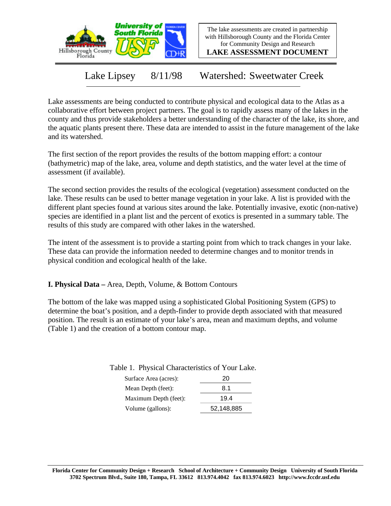

The lake assessments are created in partnership with Hillsborough County and the Florida Center for Community Design and Research

**LAKE ASSESSMENT DOCUMENT**

Lake Lipsey 8/11/98 Watershed: Sweetwater Creek

Lake assessments are being conducted to contribute physical and ecological data to the Atlas as a collaborative effort between project partners. The goal is to rapidly assess many of the lakes in the county and thus provide stakeholders a better understanding of the character of the lake, its shore, and the aquatic plants present there. These data are intended to assist in the future management of the lake and its watershed.

The first section of the report provides the results of the bottom mapping effort: a contour (bathymetric) map of the lake, area, volume and depth statistics, and the water level at the time of assessment (if available).

The second section provides the results of the ecological (vegetation) assessment conducted on the lake. These results can be used to better manage vegetation in your lake. A list is provided with the different plant species found at various sites around the lake. Potentially invasive, exotic (non-native) species are identified in a plant list and the percent of exotics is presented in a summary table. The results of this study are compared with other lakes in the watershed.

The intent of the assessment is to provide a starting point from which to track changes in your lake. These data can provide the information needed to determine changes and to monitor trends in physical condition and ecological health of the lake.

**I. Physical Data –** Area, Depth, Volume, & Bottom Contours

The bottom of the lake was mapped using a sophisticated Global Positioning System (GPS) to determine the boat's position, and a depth-finder to provide depth associated with that measured position. The result is an estimate of your lake's area, mean and maximum depths, and volume (Table 1) and the creation of a bottom contour map.

> Surface Area (acres): 20 Table 1. Physical Characteristics of Your Lake.

| Mean Depth (feet):    | 8.1        |
|-----------------------|------------|
| Maximum Depth (feet): | 19.4       |
| Volume (gallons):     | 52,148,885 |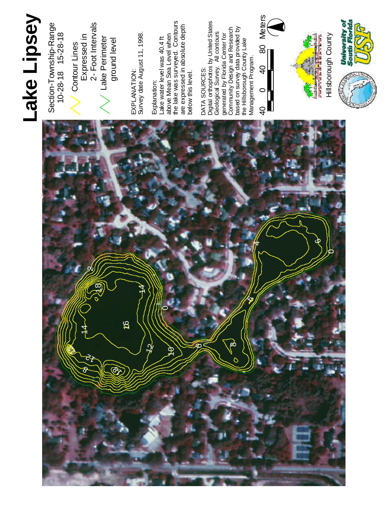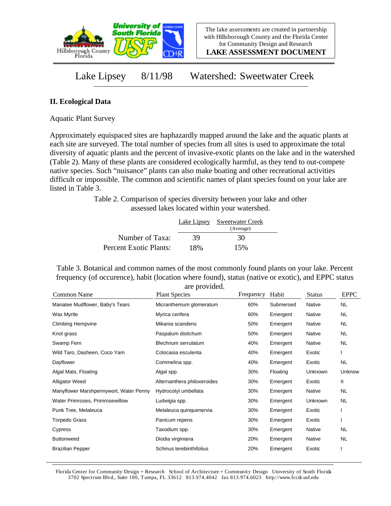

**LAKE ASSESSMENT DOCUMENT**

Lake Lipsey 8/11/98 Watershed: Sweetwater Creek

## **II. Ecological Data**

Aquatic Plant Survey

Approximately equispaced sites are haphazardly mapped around the lake and the aquatic plants at each site are surveyed. The total number of species from all sites is used to approximate the total diversity of aquatic plants and the percent of invasive-exotic plants on the lake and in the watershed (Table 2). Many of these plants are considered ecologically harmful, as they tend to out-compete native species. Such "nuisance" plants can also make boating and other recreational activities difficult or impossible. The common and scientific names of plant species found on your lake are listed in Table 3.

> Table 2. Comparison of species diversity between your lake and other assessed lakes located within your watershed.

|                        |     | Lake Lipsey Sweetwater Creek<br>(Average) |  |
|------------------------|-----|-------------------------------------------|--|
| Number of Taxa:        | 39  | 30                                        |  |
| Percent Exotic Plants: | 18% | 15%                                       |  |

Table 3. Botanical and common names of the most commonly found plants on your lake. Percent frequency (of occurence), habit (location where found), status (native or exotic), and EPPC status are provided.

| Common Name                            | <b>Plant Species</b>        | Frequency | Habit     | <b>Status</b> | <b>EPPC</b> |
|----------------------------------------|-----------------------------|-----------|-----------|---------------|-------------|
| Manatee Mudflower, Baby's Tears        | Micranthemum glomeratum     | 60%       | Submersed | Native        | <b>NL</b>   |
| Wax Myrtle                             | Myrica cerifera             | 60%       | Emergent  | <b>Native</b> | <b>NL</b>   |
| <b>Climbing Hempvine</b>               | Mikania scandens            | 50%       | Emergent  | Native        | NL.         |
| Knot grass                             | Paspalum distichum          | 50%       | Emergent  | Native        | NL.         |
| Swamp Fern                             | Blechnum serrulatum         | 40%       | Emergent  | <b>Native</b> | NL          |
| Wild Taro, Dasheen, Coco Yam           | Colocasia esculenta         | 40%       | Emergent  | Exotic        |             |
| Dayflower                              | Commelina spp.              | 40%       | Emergent  | Exotic        | <b>NL</b>   |
| Algal Mats, Floating                   | Algal spp.                  | 30%       | Floating  | Unknown       | Unknow      |
| <b>Alligator Weed</b>                  | Alternanthera philoxeroides | 30%       | Emergent  | Exotic        | Ш           |
| Manyflower Marshpennywort, Water Penny | Hydrocotyl umbellata        | 30%       | Emergent  | <b>Native</b> | <b>NL</b>   |
| Water Primroses, Primrosewillow        | Ludwigia spp.               | 30%       | Emergent  | Unknown       | NL          |
| Punk Tree, Melaleuca                   | Melaleuca quinquenervia     | 30%       | Emergent  | Exotic        |             |
| Torpedo Grass                          | Panicum repens              | 30%       | Emergent  | Exotic        |             |
| Cypress                                | Taxodium spp.               | 30%       | Emergent  | Native        | <b>NL</b>   |
| <b>Buttonweed</b>                      | Diodia virginiana           | 20%       | Emergent  | Native        | NL          |
| <b>Brazilian Pepper</b>                | Schinus terebinthifolius    | 20%       | Emergent  | Exotic        |             |

Florida Center for Community Design + Research School of Architecture + Community Design University of South Florida 3702 Spectrum Blvd., Suite 180, Tampa, FL 33612 813.974.4042 fax 813.974.6023 http://www.fccdr.usf.edu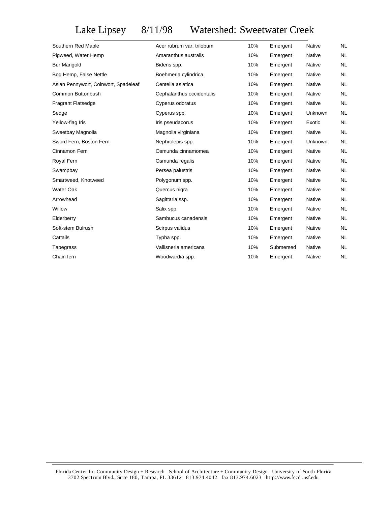Lake Lipsey 8/11/98 Watershed: Sweetwater Creek

| Southern Red Maple                   | Acer rubrum var. trilobum | 10% | Emergent  | Native  | NL        |
|--------------------------------------|---------------------------|-----|-----------|---------|-----------|
| Pigweed, Water Hemp                  | Amaranthus australis      | 10% | Emergent  | Native  | <b>NL</b> |
| <b>Bur Marigold</b>                  | Bidens spp.               | 10% | Emergent  | Native  | NL.       |
| Bog Hemp, False Nettle               | Boehmeria cylindrica      | 10% | Emergent  | Native  | <b>NL</b> |
| Asian Pennywort, Coinwort, Spadeleaf | Centella asiatica         | 10% | Emergent  | Native  | NL.       |
| Common Buttonbush                    | Cephalanthus occidentalis | 10% | Emergent  | Native  | <b>NL</b> |
| <b>Fragrant Flatsedge</b>            | Cyperus odoratus          | 10% | Emergent  | Native  | NL.       |
| Sedge                                | Cyperus spp.              | 10% | Emergent  | Unknown | <b>NL</b> |
| Yellow-flag Iris                     | Iris pseudacorus          | 10% | Emergent  | Exotic  | NL.       |
| Sweetbay Magnolia                    | Magnolia virginiana       | 10% | Emergent  | Native  | NL.       |
| Sword Fern, Boston Fern              | Nephrolepis spp.          | 10% | Emergent  | Unknown | NL.       |
| Cinnamon Fern                        | Osmunda cinnamomea        | 10% | Emergent  | Native  | <b>NL</b> |
| Royal Fern                           | Osmunda regalis           | 10% | Emergent  | Native  | NL.       |
| Swampbay                             | Persea palustris          | 10% | Emergent  | Native  | <b>NL</b> |
| Smartweed, Knotweed                  | Polygonum spp.            | 10% | Emergent  | Native  | NL.       |
| Water Oak                            | Quercus nigra             | 10% | Emergent  | Native  | <b>NL</b> |
| Arrowhead                            | Sagittaria ssp.           | 10% | Emergent  | Native  | NL.       |
| Willow                               | Salix spp.                | 10% | Emergent  | Native  | NL.       |
| Elderberry                           | Sambucus canadensis       | 10% | Emergent  | Native  | NL.       |
| Soft-stem Bulrush                    | Scirpus validus           | 10% | Emergent  | Native  | NL.       |
| Cattails                             | Typha spp.                | 10% | Emergent  | Native  | NL.       |
| Tapegrass                            | Vallisneria americana     | 10% | Submersed | Native  | <b>NL</b> |
| Chain fern                           | Woodwardia spp.           | 10% | Emergent  | Native  | NL        |
|                                      |                           |     |           |         |           |